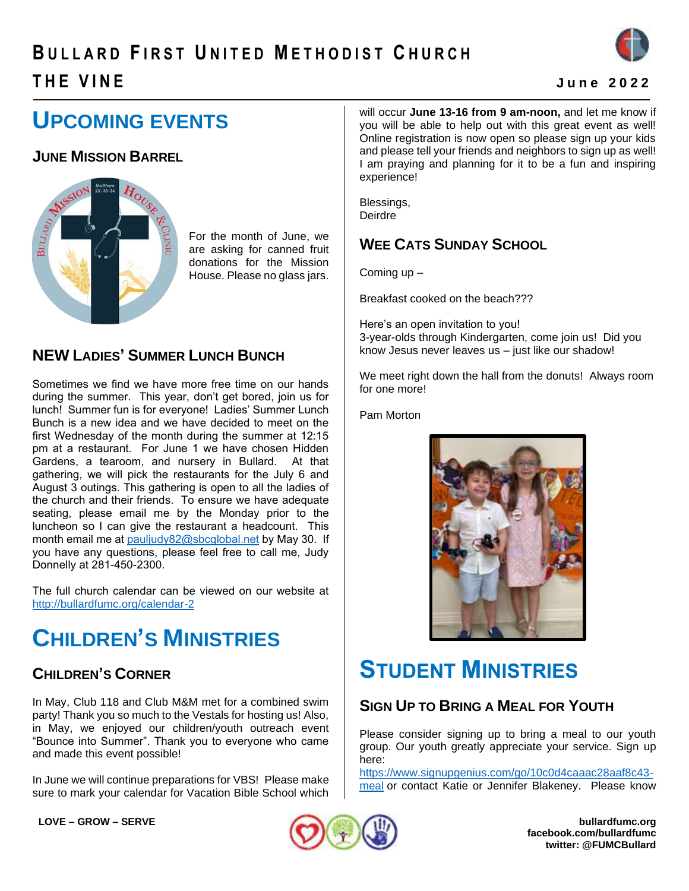# **B U L L A R D F I R S T U N I T E D ME T H O D I S T C H U R C H T H E V I N E J u n e 2 0 2 2**



# **UPCOMING EVENTS**

### **JUNE MISSION BARREL**



For the month of June, we are asking for canned fruit donations for the Mission House. Please no glass jars.

#### **NEW LADIES' SUMMER LUNCH BUNCH**

Sometimes we find we have more free time on our hands during the summer. This year, don't get bored, join us for lunch! Summer fun is for everyone! Ladies' Summer Lunch Bunch is a new idea and we have decided to meet on the first Wednesday of the month during the summer at 12:15 pm at a restaurant. For June 1 we have chosen Hidden Gardens, a tearoom, and nursery in Bullard. At that gathering, we will pick the restaurants for the July 6 and August 3 outings. This gathering is open to all the ladies of the church and their friends. To ensure we have adequate seating, please email me by the Monday prior to the luncheon so I can give the restaurant a headcount. This month email me at [pauljudy82@sbcglobal.net](mailto:pauljudy82@sbcglobal.net) by May 30. If you have any questions, please feel free to call me, Judy Donnelly at 281-450-2300.

The full church calendar can be viewed on our website at <http://bullardfumc.org/calendar-2>

# **CHILDREN'S MINISTRIES**

### **CHILDREN'S CORNER**

In May, Club 118 and Club M&M met for a combined swim party! Thank you so much to the Vestals for hosting us! Also, in May, we enjoyed our children/youth outreach event "Bounce into Summer". Thank you to everyone who came and made this event possible!

In June we will continue preparations for VBS! Please make sure to mark your calendar for Vacation Bible School which

will occur **June 13-16 from 9 am-noon,** and let me know if you will be able to help out with this great event as well! Online registration is now open so please sign up your kids and please tell your friends and neighbors to sign up as well! I am praying and planning for it to be a fun and inspiring experience!

Blessings, **Deirdre** 

## **WEE CATS SUNDAY SCHOOL**

Coming up –

Breakfast cooked on the beach???

Here's an open invitation to you! 3-year-olds through Kindergarten, come join us! Did you know Jesus never leaves us – just like our shadow!

We meet right down the hall from the donuts! Always room for one more!

Pam Morton



# **STUDENT MINISTRIES**

#### **SIGN UP TO BRING A MEAL FOR YOUTH**

Please consider signing up to bring a meal to our youth group. Our youth greatly appreciate your service. Sign up here:

[https://www.signupgenius.com/go/10c0d4caaac28aaf8c43](https://www.signupgenius.com/go/10c0d4caaac28aaf8c43-meal) [meal](https://www.signupgenius.com/go/10c0d4caaac28aaf8c43-meal) or contact Katie or Jennifer Blakeney. Please know



**LOVE – GROW – SERVE bullardfumc.org facebook.com/bullardfumc twitter: @FUMCBullard**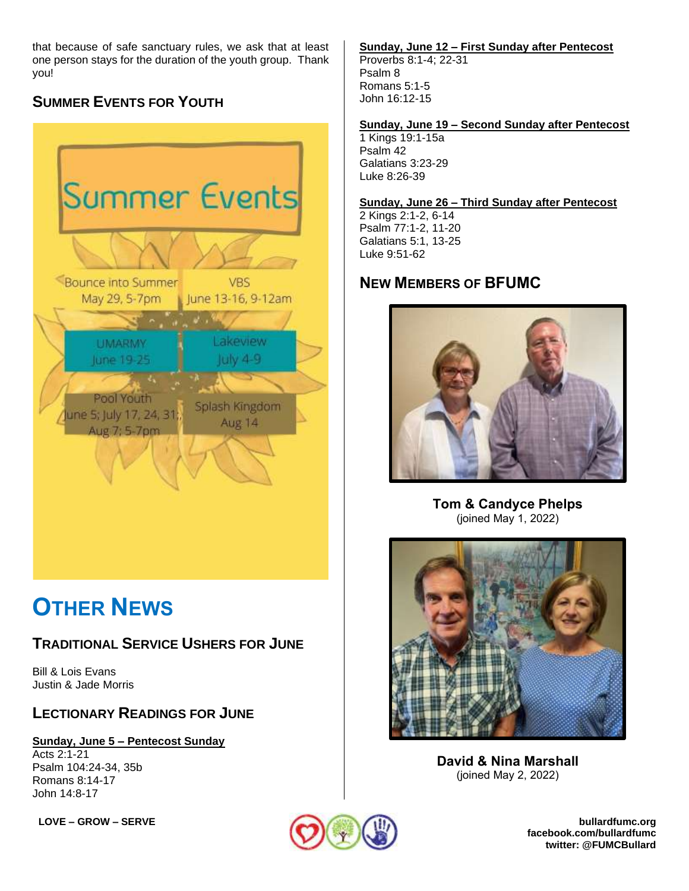that because of safe sanctuary rules, we ask that at least one person stays for the duration of the youth group. Thank you!

## **SUMMER EVENTS FOR YOUTH**



# **OTHER NEWS**

#### **TRADITIONAL SERVICE USHERS FOR JUNE**

Bill & Lois Evans Justin & Jade Morris

#### **LECTIONARY READINGS FOR JUNE**

**Sunday, June 5 – Pentecost Sunday** Acts 2:1-21 Psalm 104:24-34, 35b Romans 8:14-17 John 14:8-17

#### **Sunday, June 12 – First Sunday after Pentecost**

Proverbs 8:1-4; 22-31 Psalm 8 Romans 5:1-5 John 16:12-15

#### **Sunday, June 19 – Second Sunday after Pentecost**

1 Kings 19:1-15a Psalm 42 Galatians 3:23-29 Luke 8:26-39

#### **Sunday, June 26 – Third Sunday after Pentecost**

2 Kings 2:1-2, 6-14 Psalm 77:1-2, 11-20 Galatians 5:1, 13-25 Luke 9:51-62

### **NEW MEMBERS OF BFUMC**



**Tom & Candyce Phelps** (joined May 1, 2022)



**David & Nina Marshall** (joined May 2, 2022)

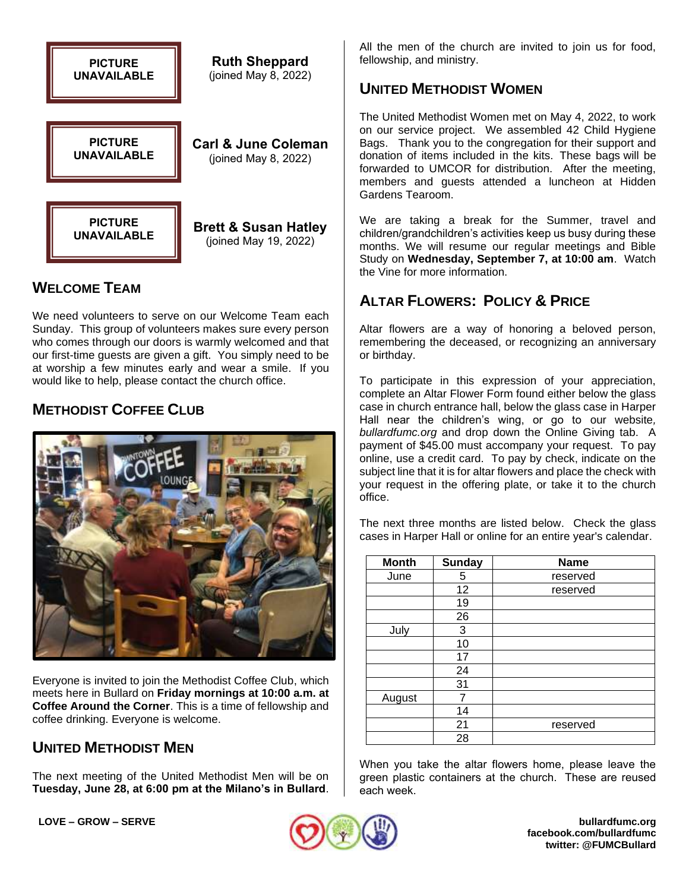

#### **WELCOME TEAM**

We need volunteers to serve on our Welcome Team each Sunday. This group of volunteers makes sure every person who comes through our doors is warmly welcomed and that our first-time guests are given a gift. You simply need to be at worship a few minutes early and wear a smile. If you would like to help, please contact the church office.

#### **METHODIST COFFEE CLUB**



Everyone is invited to join the Methodist Coffee Club, which meets here in Bullard on **Friday mornings at 10:00 a.m. at Coffee Around the Corner**. This is a time of fellowship and coffee drinking. Everyone is welcome.

#### **UNITED METHODIST MEN**

The next meeting of the United Methodist Men will be on **Tuesday, June 28, at 6:00 pm at the Milano's in Bullard**.

All the men of the church are invited to join us for food, fellowship, and ministry.

#### **UNITED METHODIST WOMEN**

The United Methodist Women met on May 4, 2022, to work on our service project. We assembled 42 Child Hygiene Bags. Thank you to the congregation for their support and donation of items included in the kits. These bags will be forwarded to UMCOR for distribution. After the meeting, members and guests attended a luncheon at Hidden Gardens Tearoom.

We are taking a break for the Summer, travel and children/grandchildren's activities keep us busy during these months. We will resume our regular meetings and Bible Study on **Wednesday, September 7, at 10:00 am**. Watch the Vine for more information.

#### **ALTAR FLOWERS: POLICY & PRICE**

Altar flowers are a way of honoring a beloved person, remembering the deceased, or recognizing an anniversary or birthday.

To participate in this expression of your appreciation, complete an Altar Flower Form found either below the glass case in church entrance hall, below the glass case in Harper Hall near the children's wing, or go to our website*, bullardfumc.org* and drop down the Online Giving tab. A payment of \$45.00 must accompany your request. To pay online, use a credit card. To pay by check, indicate on the subject line that it is for altar flowers and place the check with your request in the offering plate, or take it to the church office.

The next three months are listed below. Check the glass cases in Harper Hall or online for an entire year's calendar.

| <b>Month</b> | <b>Sunday</b> | <b>Name</b> |  |
|--------------|---------------|-------------|--|
| June         | 5             | reserved    |  |
|              | 12            | reserved    |  |
|              | 19            |             |  |
|              | 26            |             |  |
| July         | 3             |             |  |
|              | 10            |             |  |
|              | 17            |             |  |
|              | 24            |             |  |
|              | 31            |             |  |
| August       |               |             |  |
|              | 14            |             |  |
|              | 21            | reserved    |  |
|              | 28            |             |  |

When you take the altar flowers home, please leave the green plastic containers at the church. These are reused each week.



**LOVE – GROW – SERVE bullardfumc.org facebook.com/bullardfumc twitter: @FUMCBullard**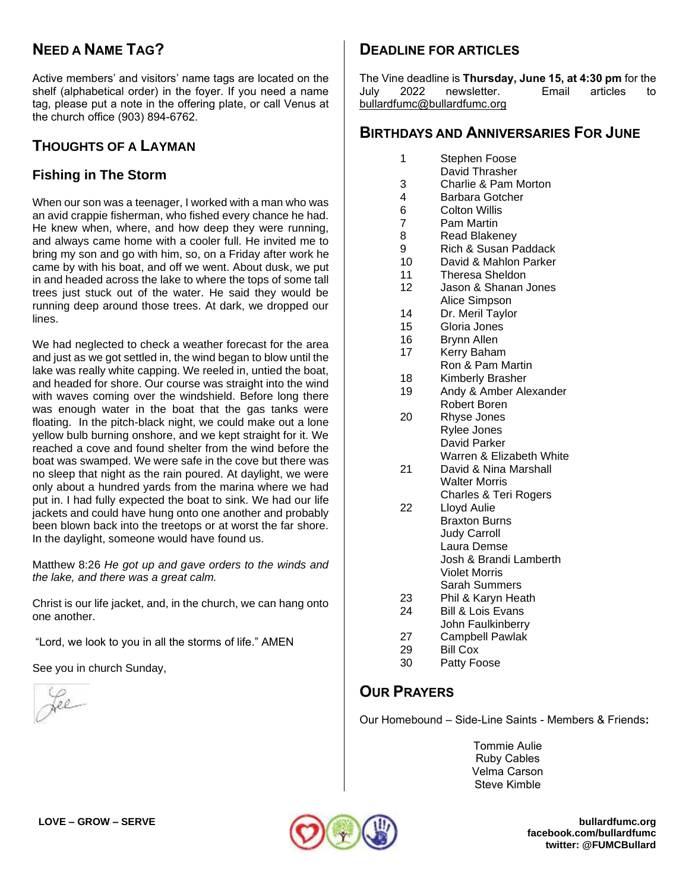### **NEED A NAME TAG?**

Active members' and visitors' name tags are located on the shelf (alphabetical order) in the foyer. If you need a name tag, please put a note in the offering plate, or call Venus at the church office (903) 894-6762.

#### **THOUGHTS OF A LAYMAN**

#### **Fishing in The Storm**

When our son was a teenager, I worked with a man who was an avid crappie fisherman, who fished every chance he had. He knew when, where, and how deep they were running, and always came home with a cooler full. He invited me to bring my son and go with him, so, on a Friday after work he came by with his boat, and off we went. About dusk, we put in and headed across the lake to where the tops of some tall trees just stuck out of the water. He said they would be running deep around those trees. At dark, we dropped our lines.

We had neglected to check a weather forecast for the area and just as we got settled in, the wind began to blow until the lake was really white capping. We reeled in, untied the boat, and headed for shore. Our course was straight into the wind with waves coming over the windshield. Before long there was enough water in the boat that the gas tanks were floating. In the pitch-black night, we could make out a lone yellow bulb burning onshore, and we kept straight for it. We reached a cove and found shelter from the wind before the boat was swamped. We were safe in the cove but there was no sleep that night as the rain poured. At daylight, we were only about a hundred yards from the marina where we had put in. I had fully expected the boat to sink. We had our life jackets and could have hung onto one another and probably been blown back into the treetops or at worst the far shore. In the daylight, someone would have found us.

Matthew 8:26 *He got up and gave orders to the winds and the lake, and there was a great calm.*

Christ is our life jacket, and, in the church, we can hang onto one another.

"Lord, we look to you in all the storms of life." AMEN

See you in church Sunday,

fee

#### **DEADLINE FOR ARTICLES**

The Vine deadline is **Thursday, June 15, at 4:30 pm** for the July 2022 newsletter. Email articles to [bullardfumc@bullardfumc.org](mailto:bullardfumc@bullardfumc.org)

#### **BIRTHDAYS AND ANNIVERSARIES FOR JUNE**

- 1 Stephen Foose
- David Thrasher
- 3 Charlie & Pam Morton
- 4 Barbara Gotcher
- 6 Colton Willis
- 7 Pam Martin
- 8 Read Blakeney
- 9 Rich & Susan Paddack
- 10 David & Mahlon Parker
- 11 Theresa Sheldon
- 12 Jason & Shanan Jones Alice Simpson
- 14 Dr. Meril Taylor
- 15 Gloria Jones
- 16 Brynn Allen
- 17 Kerry Baham Ron & Pam Martin
- 18 Kimberly Brasher
- 19 Andy & Amber Alexander Robert Boren
- 20 Rhyse Jones Rylee Jones David Parker Warren & Elizabeth White
- 21 David & Nina Marshall Walter Morris Charles & Teri Rogers
- 22 Lloyd Aulie Braxton Burns Judy Carroll Laura Demse Josh & Brandi Lamberth Violet Morris
	- Sarah Summers
- 23 Phil & Karyn Heath 24 Bill & Lois Evans
- John Faulkinberry
- 27 Campbell Pawlak
- 29 Bill Cox
- 30 Patty Foose

#### **OUR PRAYERS**

Our Homebound – Side-Line Saints - Members & Friends**:**

Tommie Aulie Ruby Cables Velma Carson Steve Kimble



**LOVE – GROW – SERVE bullardfumc.org facebook.com/bullardfumc twitter: @FUMCBullard**